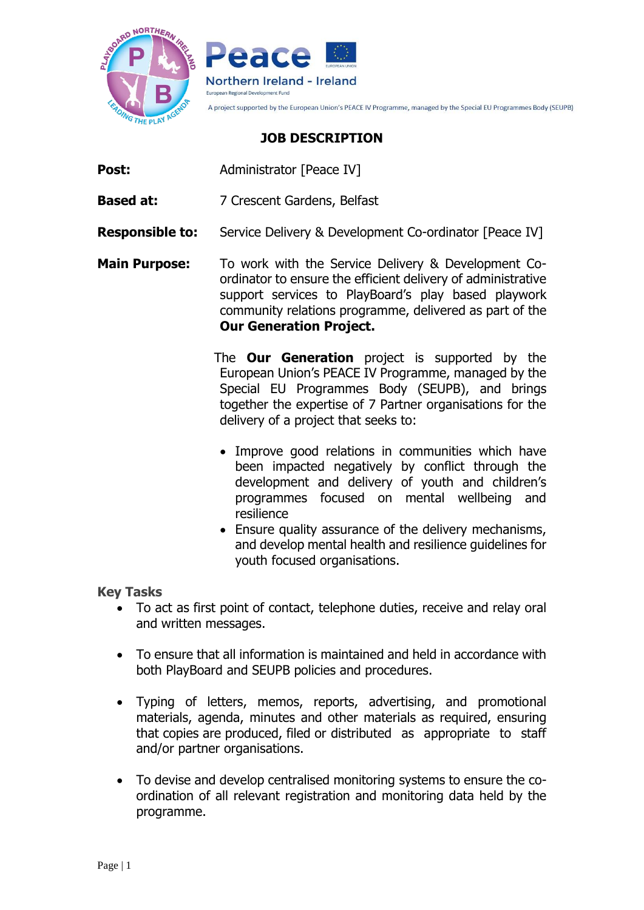



A project supported by the European Union's PEACE IV Programme, managed by the Special EU Programmes Body (SEUPB)

## **JOB DESCRIPTION**

- **Post:** Administrator [Peace IV]
- **Based at:** 7 Crescent Gardens, Belfast
- **Responsible to:** Service Delivery & Development Co-ordinator [Peace IV]
- **Main Purpose:** To work with the Service Delivery & Development Coordinator to ensure the efficient delivery of administrative support services to PlayBoard's play based playwork community relations programme, delivered as part of the **Our Generation Project.** 
	- The **Our Generation** project is supported by the European Union's PEACE IV Programme, managed by the Special EU Programmes Body (SEUPB), and brings together the expertise of 7 Partner organisations for the delivery of a project that seeks to:
	- Improve good relations in communities which have been impacted negatively by conflict through the development and delivery of youth and children's programmes focused on mental wellbeing and resilience
	- Ensure quality assurance of the delivery mechanisms, and develop mental health and resilience guidelines for youth focused organisations.

### **Key Tasks**

- To act as first point of contact, telephone duties, receive and relay oral and written messages.
- To ensure that all information is maintained and held in accordance with both PlayBoard and SEUPB policies and procedures.
- Typing of letters, memos, reports, advertising, and promotional materials, agenda, minutes and other materials as required, ensuring that copies are produced, filed or distributed as appropriate to staff and/or partner organisations.
- To devise and develop centralised monitoring systems to ensure the coordination of all relevant registration and monitoring data held by the programme.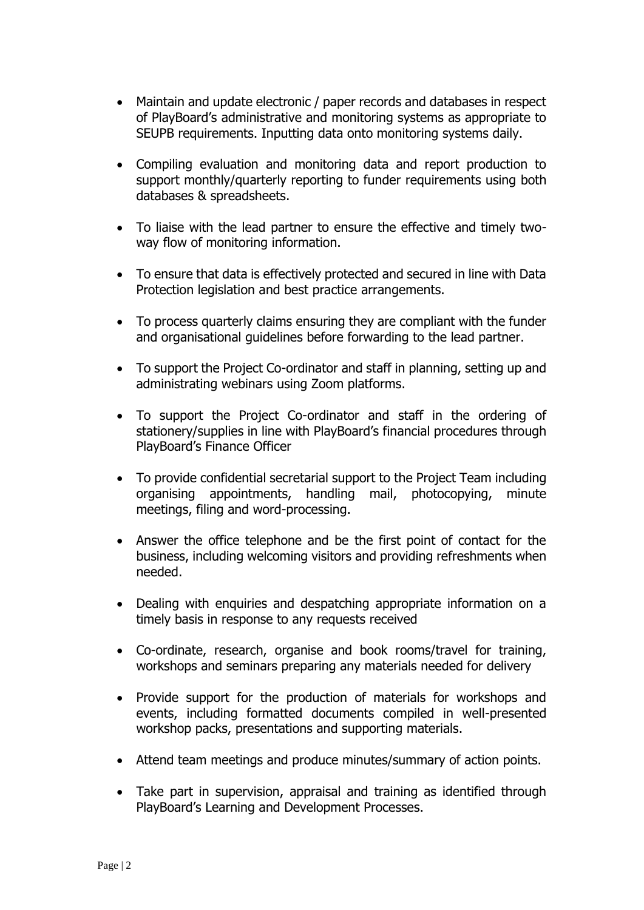- Maintain and update electronic / paper records and databases in respect of PlayBoard's administrative and monitoring systems as appropriate to SEUPB requirements. Inputting data onto monitoring systems daily.
- Compiling evaluation and monitoring data and report production to support monthly/quarterly reporting to funder requirements using both databases & spreadsheets.
- To liaise with the lead partner to ensure the effective and timely twoway flow of monitoring information.
- To ensure that data is effectively protected and secured in line with Data Protection legislation and best practice arrangements.
- To process quarterly claims ensuring they are compliant with the funder and organisational guidelines before forwarding to the lead partner.
- To support the Project Co-ordinator and staff in planning, setting up and administrating webinars using Zoom platforms.
- To support the Project Co-ordinator and staff in the ordering of stationery/supplies in line with PlayBoard's financial procedures through PlayBoard's Finance Officer
- To provide confidential secretarial support to the Project Team including organising appointments, handling mail, photocopying, minute meetings, filing and word-processing.
- Answer the office telephone and be the first point of contact for the business, including welcoming visitors and providing refreshments when needed.
- Dealing with enquiries and despatching appropriate information on a timely basis in response to any requests received
- Co-ordinate, research, organise and book rooms/travel for training, workshops and seminars preparing any materials needed for delivery
- Provide support for the production of materials for workshops and events, including formatted documents compiled in well-presented workshop packs, presentations and supporting materials.
- Attend team meetings and produce minutes/summary of action points.
- Take part in supervision, appraisal and training as identified through PlayBoard's Learning and Development Processes.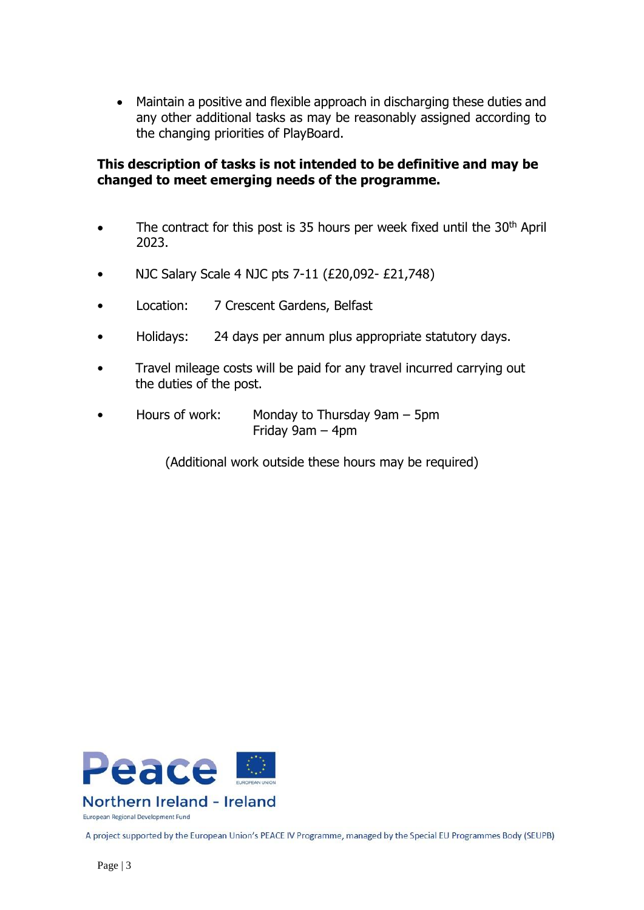• Maintain a positive and flexible approach in discharging these duties and any other additional tasks as may be reasonably assigned according to the changing priorities of PlayBoard.

### **This description of tasks is not intended to be definitive and may be changed to meet emerging needs of the programme.**

- The contract for this post is 35 hours per week fixed until the 30<sup>th</sup> April 2023.
- NJC Salary Scale 4 NJC pts 7-11 (£20,092- £21,748)
- Location: 7 Crescent Gardens, Belfast
- Holidays: 24 days per annum plus appropriate statutory days.
- Travel mileage costs will be paid for any travel incurred carrying out the duties of the post.
- Hours of work: Monday to Thursday 9am 5pm Friday 9am – 4pm

(Additional work outside these hours may be required)



European Regional Development Fund

A project supported by the European Union's PEACE IV Programme, managed by the Special EU Programmes Body (SEUPB)